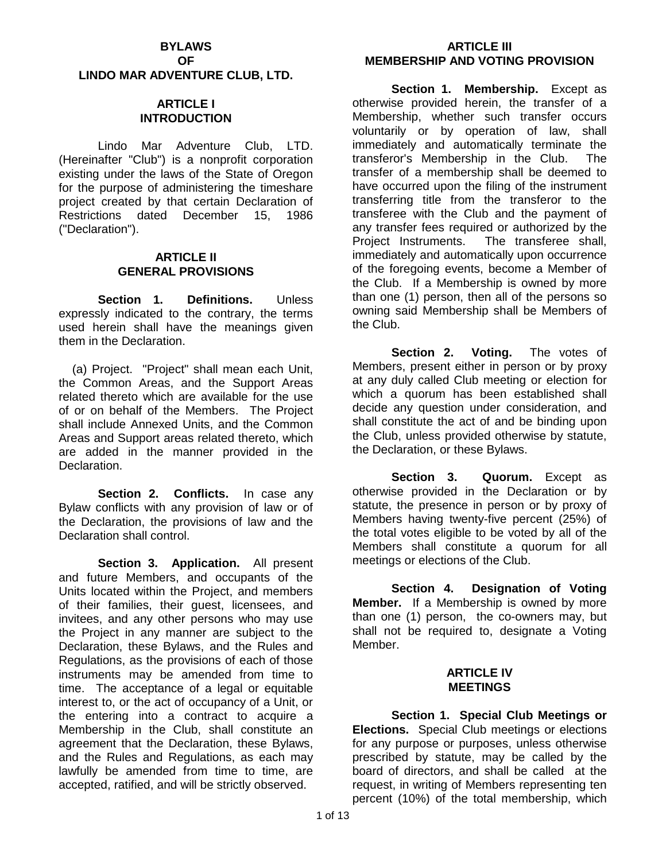# **BYLAWS OF**

**LINDO MAR ADVENTURE CLUB, LTD.**

### **ARTICLE I INTRODUCTION**

Lindo Mar Adventure Club, LTD. (Hereinafter "Club") is a nonprofit corporation existing under the laws of the State of Oregon for the purpose of administering the timeshare project created by that certain Declaration of Restrictions dated December 15, 1986 ("Declaration").

### **ARTICLE II GENERAL PROVISIONS**

**Section 1. Definitions.** Unless expressly indicated to the contrary, the terms used herein shall have the meanings given them in the Declaration.

(a) Project. "Project" shall mean each Unit, the Common Areas, and the Support Areas related thereto which are available for the use of or on behalf of the Members. The Project shall include Annexed Units, and the Common Areas and Support areas related thereto, which are added in the manner provided in the Declaration.

**Section 2. Conflicts.** In case any Bylaw conflicts with any provision of law or of the Declaration, the provisions of law and the Declaration shall control.

**Section 3. Application.** All present and future Members, and occupants of the Units located within the Project, and members of their families, their guest, licensees, and invitees, and any other persons who may use the Project in any manner are subject to the Declaration, these Bylaws, and the Rules and Regulations, as the provisions of each of those instruments may be amended from time to time. The acceptance of a legal or equitable interest to, or the act of occupancy of a Unit, or the entering into a contract to acquire a Membership in the Club, shall constitute an agreement that the Declaration, these Bylaws, and the Rules and Regulations, as each may lawfully be amended from time to time, are accepted, ratified, and will be strictly observed.

## **ARTICLE III MEMBERSHIP AND VOTING PROVISION**

**Section 1. Membership.** Except as otherwise provided herein, the transfer of a Membership, whether such transfer occurs voluntarily or by operation of law, shall immediately and automatically terminate the transferor's Membership in the Club. The transfer of a membership shall be deemed to have occurred upon the filing of the instrument transferring title from the transferor to the transferee with the Club and the payment of any transfer fees required or authorized by the Project Instruments. The transferee shall, immediately and automatically upon occurrence of the foregoing events, become a Member of the Club. If a Membership is owned by more than one (1) person, then all of the persons so owning said Membership shall be Members of the Club.

**Section 2. Voting.** The votes of Members, present either in person or by proxy at any duly called Club meeting or election for which a quorum has been established shall decide any question under consideration, and shall constitute the act of and be binding upon the Club, unless provided otherwise by statute, the Declaration, or these Bylaws.

Section 3. Quorum. Except as otherwise provided in the Declaration or by statute, the presence in person or by proxy of Members having twenty-five percent (25%) of the total votes eligible to be voted by all of the Members shall constitute a quorum for all meetings or elections of the Club.

**Section 4. Designation of Voting Member.** If a Membership is owned by more than one (1) person, the co-owners may, but shall not be required to, designate a Voting Member.

## **ARTICLE IV MEETINGS**

**Section 1. Special Club Meetings or Elections.** Special Club meetings or elections for any purpose or purposes, unless otherwise prescribed by statute, may be called by the board of directors, and shall be called at the request, in writing of Members representing ten percent (10%) of the total membership, which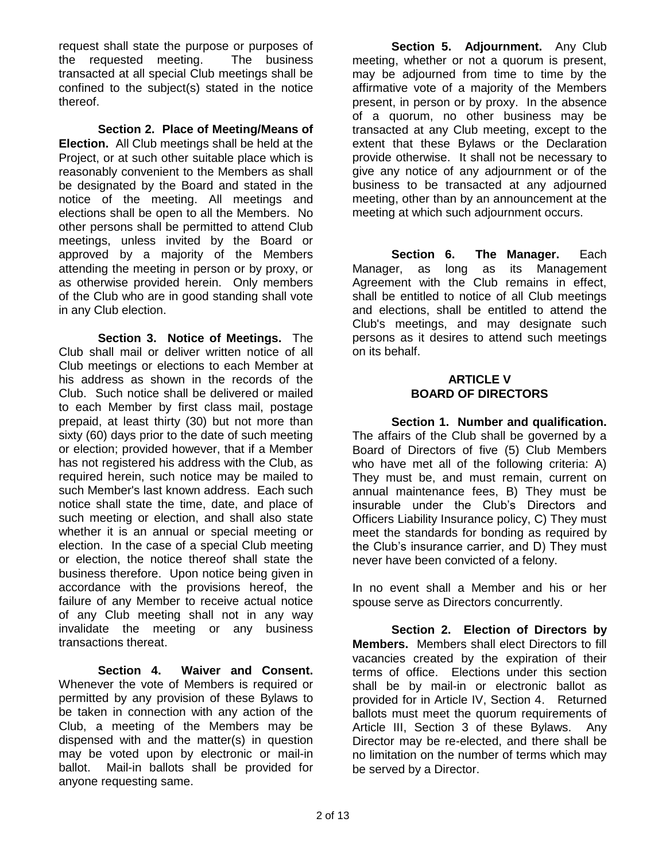request shall state the purpose or purposes of the requested meeting. The business transacted at all special Club meetings shall be confined to the subject(s) stated in the notice thereof.

**Section 2. Place of Meeting/Means of Election.** All Club meetings shall be held at the Project, or at such other suitable place which is reasonably convenient to the Members as shall be designated by the Board and stated in the notice of the meeting. All meetings and elections shall be open to all the Members. No other persons shall be permitted to attend Club meetings, unless invited by the Board or approved by a majority of the Members attending the meeting in person or by proxy, or as otherwise provided herein. Only members of the Club who are in good standing shall vote in any Club election.

**Section 3. Notice of Meetings.** The Club shall mail or deliver written notice of all Club meetings or elections to each Member at his address as shown in the records of the Club. Such notice shall be delivered or mailed to each Member by first class mail, postage prepaid, at least thirty (30) but not more than sixty (60) days prior to the date of such meeting or election; provided however, that if a Member has not registered his address with the Club, as required herein, such notice may be mailed to such Member's last known address. Each such notice shall state the time, date, and place of such meeting or election, and shall also state whether it is an annual or special meeting or election. In the case of a special Club meeting or election, the notice thereof shall state the business therefore. Upon notice being given in accordance with the provisions hereof, the failure of any Member to receive actual notice of any Club meeting shall not in any way invalidate the meeting or any business transactions thereat.

**Section 4. Waiver and Consent.**  Whenever the vote of Members is required or permitted by any provision of these Bylaws to be taken in connection with any action of the Club, a meeting of the Members may be dispensed with and the matter(s) in question may be voted upon by electronic or mail-in ballot. Mail-in ballots shall be provided for anyone requesting same.

**Section 5. Adjournment.** Any Club meeting, whether or not a quorum is present, may be adjourned from time to time by the affirmative vote of a majority of the Members present, in person or by proxy. In the absence of a quorum, no other business may be transacted at any Club meeting, except to the extent that these Bylaws or the Declaration provide otherwise. It shall not be necessary to give any notice of any adjournment or of the business to be transacted at any adjourned meeting, other than by an announcement at the meeting at which such adjournment occurs.

Section 6. The Manager. Each Manager, as long as its Management Agreement with the Club remains in effect, shall be entitled to notice of all Club meetings and elections, shall be entitled to attend the Club's meetings, and may designate such persons as it desires to attend such meetings on its behalf.

#### **ARTICLE V BOARD OF DIRECTORS**

**Section 1. Number and qualification.**  The affairs of the Club shall be governed by a Board of Directors of five (5) Club Members who have met all of the following criteria: A) They must be, and must remain, current on annual maintenance fees, B) They must be insurable under the Club's Directors and Officers Liability Insurance policy, C) They must meet the standards for bonding as required by the Club's insurance carrier, and D) They must never have been convicted of a felony.

In no event shall a Member and his or her spouse serve as Directors concurrently.

**Section 2. Election of Directors by Members.** Members shall elect Directors to fill vacancies created by the expiration of their terms of office. Elections under this section shall be by mail-in or electronic ballot as provided for in Article IV, Section 4. Returned ballots must meet the quorum requirements of Article III, Section 3 of these Bylaws. Any Director may be re-elected, and there shall be no limitation on the number of terms which may be served by a Director.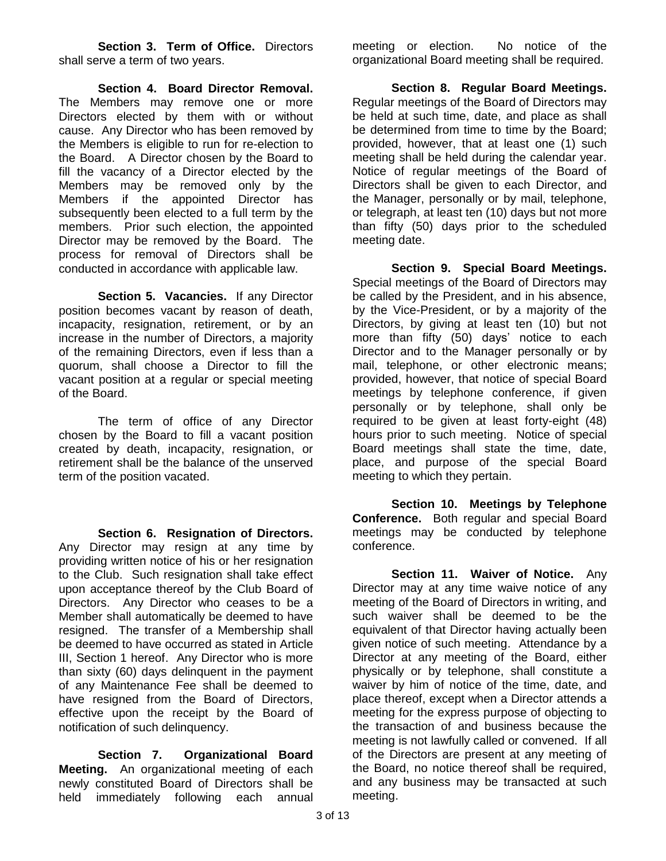**Section 3. Term of Office.** Directors shall serve a term of two years.

**Section 4. Board Director Removal.**  The Members may remove one or more Directors elected by them with or without cause. Any Director who has been removed by the Members is eligible to run for re-election to the Board. A Director chosen by the Board to fill the vacancy of a Director elected by the Members may be removed only by the Members if the appointed Director has subsequently been elected to a full term by the members. Prior such election, the appointed Director may be removed by the Board. The process for removal of Directors shall be conducted in accordance with applicable law.

**Section 5. Vacancies.** If any Director position becomes vacant by reason of death, incapacity, resignation, retirement, or by an increase in the number of Directors, a majority of the remaining Directors, even if less than a quorum, shall choose a Director to fill the vacant position at a regular or special meeting of the Board.

The term of office of any Director chosen by the Board to fill a vacant position created by death, incapacity, resignation, or retirement shall be the balance of the unserved term of the position vacated.

**Section 6. Resignation of Directors.**  Any Director may resign at any time by providing written notice of his or her resignation to the Club. Such resignation shall take effect upon acceptance thereof by the Club Board of Directors. Any Director who ceases to be a Member shall automatically be deemed to have resigned. The transfer of a Membership shall be deemed to have occurred as stated in Article III, Section 1 hereof. Any Director who is more than sixty (60) days delinquent in the payment of any Maintenance Fee shall be deemed to have resigned from the Board of Directors, effective upon the receipt by the Board of notification of such delinquency.

**Section 7. Organizational Board Meeting.** An organizational meeting of each newly constituted Board of Directors shall be held immediately following each annual meeting or election. No notice of the organizational Board meeting shall be required.

**Section 8. Regular Board Meetings.**  Regular meetings of the Board of Directors may be held at such time, date, and place as shall be determined from time to time by the Board; provided, however, that at least one (1) such meeting shall be held during the calendar year. Notice of regular meetings of the Board of Directors shall be given to each Director, and the Manager, personally or by mail, telephone, or telegraph, at least ten (10) days but not more than fifty (50) days prior to the scheduled meeting date.

**Section 9. Special Board Meetings.**  Special meetings of the Board of Directors may be called by the President, and in his absence, by the Vice-President, or by a majority of the Directors, by giving at least ten (10) but not more than fifty (50) days' notice to each Director and to the Manager personally or by mail, telephone, or other electronic means; provided, however, that notice of special Board meetings by telephone conference, if given personally or by telephone, shall only be required to be given at least forty-eight (48) hours prior to such meeting. Notice of special Board meetings shall state the time, date, place, and purpose of the special Board meeting to which they pertain.

**Section 10. Meetings by Telephone Conference.** Both regular and special Board meetings may be conducted by telephone conference.

**Section 11. Waiver of Notice.** Any Director may at any time waive notice of any meeting of the Board of Directors in writing, and such waiver shall be deemed to be the equivalent of that Director having actually been given notice of such meeting. Attendance by a Director at any meeting of the Board, either physically or by telephone, shall constitute a waiver by him of notice of the time, date, and place thereof, except when a Director attends a meeting for the express purpose of objecting to the transaction of and business because the meeting is not lawfully called or convened. If all of the Directors are present at any meeting of the Board, no notice thereof shall be required, and any business may be transacted at such meeting.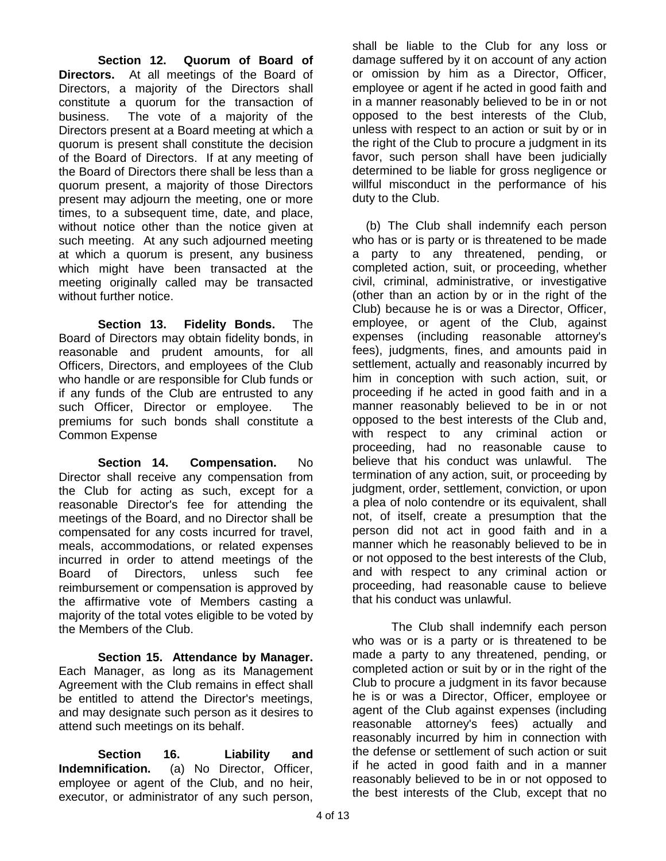**Section 12. Quorum of Board of Directors.** At all meetings of the Board of Directors, a majority of the Directors shall constitute a quorum for the transaction of business. The vote of a majority of the Directors present at a Board meeting at which a quorum is present shall constitute the decision of the Board of Directors. If at any meeting of the Board of Directors there shall be less than a quorum present, a majority of those Directors present may adjourn the meeting, one or more times, to a subsequent time, date, and place, without notice other than the notice given at such meeting. At any such adjourned meeting at which a quorum is present, any business which might have been transacted at the meeting originally called may be transacted without further notice.

**Section 13. Fidelity Bonds.** The Board of Directors may obtain fidelity bonds, in reasonable and prudent amounts, for all Officers, Directors, and employees of the Club who handle or are responsible for Club funds or if any funds of the Club are entrusted to any such Officer, Director or employee. The premiums for such bonds shall constitute a Common Expense

**Section 14. Compensation.** No Director shall receive any compensation from the Club for acting as such, except for a reasonable Director's fee for attending the meetings of the Board, and no Director shall be compensated for any costs incurred for travel, meals, accommodations, or related expenses incurred in order to attend meetings of the Board of Directors, unless such fee reimbursement or compensation is approved by the affirmative vote of Members casting a majority of the total votes eligible to be voted by the Members of the Club.

**Section 15. Attendance by Manager.**  Each Manager, as long as its Management Agreement with the Club remains in effect shall be entitled to attend the Director's meetings, and may designate such person as it desires to attend such meetings on its behalf.

**Section 16. Liability and Indemnification.** (a) No Director, Officer, employee or agent of the Club, and no heir, executor, or administrator of any such person,

shall be liable to the Club for any loss or damage suffered by it on account of any action or omission by him as a Director, Officer, employee or agent if he acted in good faith and in a manner reasonably believed to be in or not opposed to the best interests of the Club, unless with respect to an action or suit by or in the right of the Club to procure a judgment in its favor, such person shall have been judicially determined to be liable for gross negligence or willful misconduct in the performance of his duty to the Club.

(b) The Club shall indemnify each person who has or is party or is threatened to be made a party to any threatened, pending, or completed action, suit, or proceeding, whether civil, criminal, administrative, or investigative (other than an action by or in the right of the Club) because he is or was a Director, Officer, employee, or agent of the Club, against expenses (including reasonable attorney's fees), judgments, fines, and amounts paid in settlement, actually and reasonably incurred by him in conception with such action, suit, or proceeding if he acted in good faith and in a manner reasonably believed to be in or not opposed to the best interests of the Club and, with respect to any criminal action or proceeding, had no reasonable cause to believe that his conduct was unlawful. The termination of any action, suit, or proceeding by judgment, order, settlement, conviction, or upon a plea of nolo contendre or its equivalent, shall not, of itself, create a presumption that the person did not act in good faith and in a manner which he reasonably believed to be in or not opposed to the best interests of the Club, and with respect to any criminal action or proceeding, had reasonable cause to believe that his conduct was unlawful.

The Club shall indemnify each person who was or is a party or is threatened to be made a party to any threatened, pending, or completed action or suit by or in the right of the Club to procure a judgment in its favor because he is or was a Director, Officer, employee or agent of the Club against expenses (including reasonable attorney's fees) actually and reasonably incurred by him in connection with the defense or settlement of such action or suit if he acted in good faith and in a manner reasonably believed to be in or not opposed to the best interests of the Club, except that no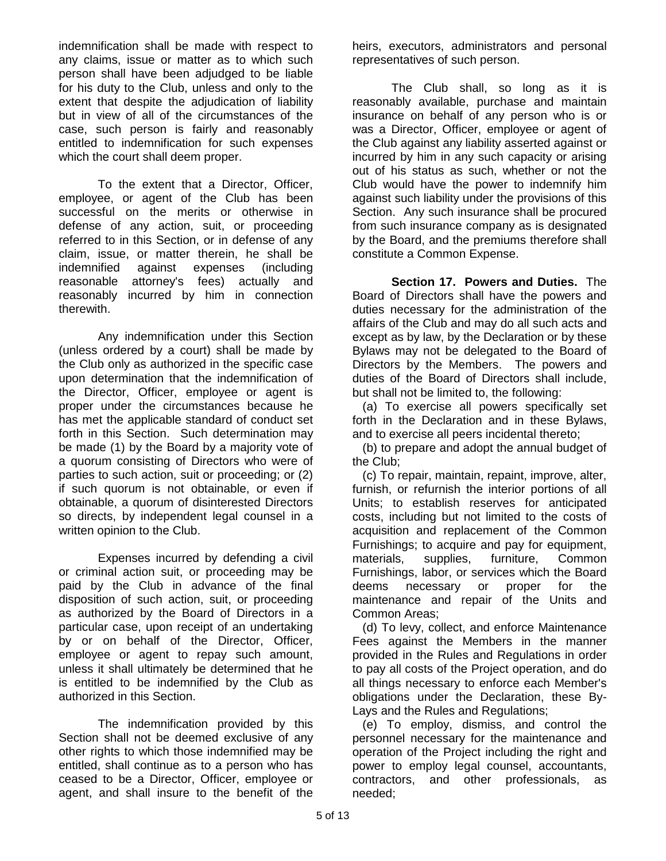indemnification shall be made with respect to any claims, issue or matter as to which such person shall have been adjudged to be liable for his duty to the Club, unless and only to the extent that despite the adjudication of liability but in view of all of the circumstances of the case, such person is fairly and reasonably entitled to indemnification for such expenses which the court shall deem proper.

To the extent that a Director, Officer, employee, or agent of the Club has been successful on the merits or otherwise in defense of any action, suit, or proceeding referred to in this Section, or in defense of any claim, issue, or matter therein, he shall be indemnified against expenses (including reasonable attorney's fees) actually and reasonably incurred by him in connection therewith.

Any indemnification under this Section (unless ordered by a court) shall be made by the Club only as authorized in the specific case upon determination that the indemnification of the Director, Officer, employee or agent is proper under the circumstances because he has met the applicable standard of conduct set forth in this Section. Such determination may be made (1) by the Board by a majority vote of a quorum consisting of Directors who were of parties to such action, suit or proceeding; or (2) if such quorum is not obtainable, or even if obtainable, a quorum of disinterested Directors so directs, by independent legal counsel in a written opinion to the Club.

Expenses incurred by defending a civil or criminal action suit, or proceeding may be paid by the Club in advance of the final disposition of such action, suit, or proceeding as authorized by the Board of Directors in a particular case, upon receipt of an undertaking by or on behalf of the Director, Officer, employee or agent to repay such amount, unless it shall ultimately be determined that he is entitled to be indemnified by the Club as authorized in this Section.

The indemnification provided by this Section shall not be deemed exclusive of any other rights to which those indemnified may be entitled, shall continue as to a person who has ceased to be a Director, Officer, employee or agent, and shall insure to the benefit of the

heirs, executors, administrators and personal representatives of such person.

The Club shall, so long as it is reasonably available, purchase and maintain insurance on behalf of any person who is or was a Director, Officer, employee or agent of the Club against any liability asserted against or incurred by him in any such capacity or arising out of his status as such, whether or not the Club would have the power to indemnify him against such liability under the provisions of this Section. Any such insurance shall be procured from such insurance company as is designated by the Board, and the premiums therefore shall constitute a Common Expense.

**Section 17. Powers and Duties.** The Board of Directors shall have the powers and duties necessary for the administration of the affairs of the Club and may do all such acts and except as by law, by the Declaration or by these Bylaws may not be delegated to the Board of Directors by the Members. The powers and duties of the Board of Directors shall include, but shall not be limited to, the following:

 (a) To exercise all powers specifically set forth in the Declaration and in these Bylaws, and to exercise all peers incidental thereto;

(b) to prepare and adopt the annual budget of the Club;

(c) To repair, maintain, repaint, improve, alter, furnish, or refurnish the interior portions of all Units; to establish reserves for anticipated costs, including but not limited to the costs of acquisition and replacement of the Common Furnishings; to acquire and pay for equipment, materials, supplies, furniture, Common Furnishings, labor, or services which the Board deems necessary or proper for the maintenance and repair of the Units and Common Areas;

(d) To levy, collect, and enforce Maintenance Fees against the Members in the manner provided in the Rules and Regulations in order to pay all costs of the Project operation, and do all things necessary to enforce each Member's obligations under the Declaration, these By-Lays and the Rules and Regulations;

(e) To employ, dismiss, and control the personnel necessary for the maintenance and operation of the Project including the right and power to employ legal counsel, accountants, contractors, and other professionals, as needed;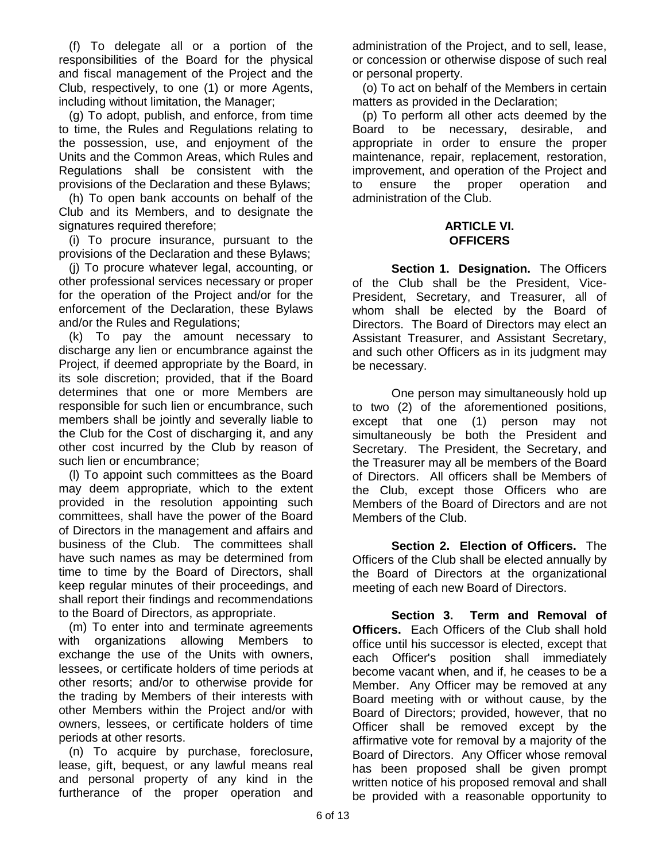(f) To delegate all or a portion of the responsibilities of the Board for the physical and fiscal management of the Project and the Club, respectively, to one (1) or more Agents, including without limitation, the Manager;

(g) To adopt, publish, and enforce, from time to time, the Rules and Regulations relating to the possession, use, and enjoyment of the Units and the Common Areas, which Rules and Regulations shall be consistent with the provisions of the Declaration and these Bylaws;

(h) To open bank accounts on behalf of the Club and its Members, and to designate the signatures required therefore;

(i) To procure insurance, pursuant to the provisions of the Declaration and these Bylaws;

(j) To procure whatever legal, accounting, or other professional services necessary or proper for the operation of the Project and/or for the enforcement of the Declaration, these Bylaws and/or the Rules and Regulations;

(k) To pay the amount necessary to discharge any lien or encumbrance against the Project, if deemed appropriate by the Board, in its sole discretion; provided, that if the Board determines that one or more Members are responsible for such lien or encumbrance, such members shall be jointly and severally liable to the Club for the Cost of discharging it, and any other cost incurred by the Club by reason of such lien or encumbrance;

(l) To appoint such committees as the Board may deem appropriate, which to the extent provided in the resolution appointing such committees, shall have the power of the Board of Directors in the management and affairs and business of the Club. The committees shall have such names as may be determined from time to time by the Board of Directors, shall keep regular minutes of their proceedings, and shall report their findings and recommendations to the Board of Directors, as appropriate.

(m) To enter into and terminate agreements with organizations allowing Members to exchange the use of the Units with owners, lessees, or certificate holders of time periods at other resorts; and/or to otherwise provide for the trading by Members of their interests with other Members within the Project and/or with owners, lessees, or certificate holders of time periods at other resorts.

(n) To acquire by purchase, foreclosure, lease, gift, bequest, or any lawful means real and personal property of any kind in the furtherance of the proper operation and

administration of the Project, and to sell, lease, or concession or otherwise dispose of such real or personal property.

(o) To act on behalf of the Members in certain matters as provided in the Declaration;

(p) To perform all other acts deemed by the Board to be necessary, desirable, and appropriate in order to ensure the proper maintenance, repair, replacement, restoration, improvement, and operation of the Project and to ensure the proper operation and administration of the Club.

### **ARTICLE VI. OFFICERS**

**Section 1. Designation.** The Officers of the Club shall be the President, Vice-President, Secretary, and Treasurer, all of whom shall be elected by the Board of Directors. The Board of Directors may elect an Assistant Treasurer, and Assistant Secretary, and such other Officers as in its judgment may be necessary.

One person may simultaneously hold up to two (2) of the aforementioned positions, except that one (1) person may not simultaneously be both the President and Secretary. The President, the Secretary, and the Treasurer may all be members of the Board of Directors. All officers shall be Members of the Club, except those Officers who are Members of the Board of Directors and are not Members of the Club.

**Section 2. Election of Officers.** The Officers of the Club shall be elected annually by the Board of Directors at the organizational meeting of each new Board of Directors.

**Section 3. Term and Removal of Officers.** Each Officers of the Club shall hold office until his successor is elected, except that each Officer's position shall immediately become vacant when, and if, he ceases to be a Member. Any Officer may be removed at any Board meeting with or without cause, by the Board of Directors; provided, however, that no Officer shall be removed except by the affirmative vote for removal by a majority of the Board of Directors. Any Officer whose removal has been proposed shall be given prompt written notice of his proposed removal and shall be provided with a reasonable opportunity to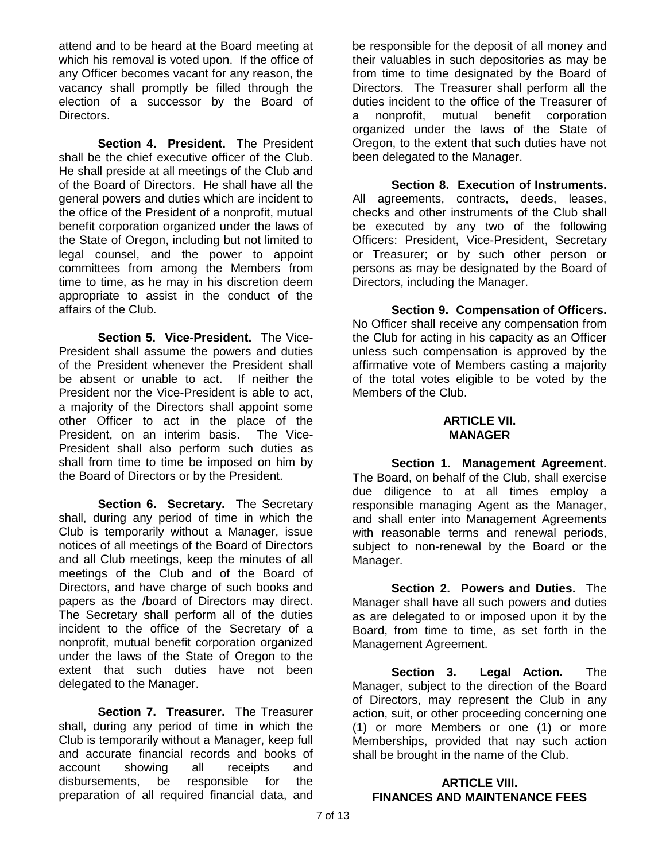attend and to be heard at the Board meeting at which his removal is voted upon. If the office of any Officer becomes vacant for any reason, the vacancy shall promptly be filled through the election of a successor by the Board of Directors.

**Section 4. President.** The President shall be the chief executive officer of the Club. He shall preside at all meetings of the Club and of the Board of Directors. He shall have all the general powers and duties which are incident to the office of the President of a nonprofit, mutual benefit corporation organized under the laws of the State of Oregon, including but not limited to legal counsel, and the power to appoint committees from among the Members from time to time, as he may in his discretion deem appropriate to assist in the conduct of the affairs of the Club.

**Section 5. Vice-President.** The Vice-President shall assume the powers and duties of the President whenever the President shall be absent or unable to act. If neither the President nor the Vice-President is able to act, a majority of the Directors shall appoint some other Officer to act in the place of the President, on an interim basis. The Vice-President shall also perform such duties as shall from time to time be imposed on him by the Board of Directors or by the President.

**Section 6. Secretary.** The Secretary shall, during any period of time in which the Club is temporarily without a Manager, issue notices of all meetings of the Board of Directors and all Club meetings, keep the minutes of all meetings of the Club and of the Board of Directors, and have charge of such books and papers as the /board of Directors may direct. The Secretary shall perform all of the duties incident to the office of the Secretary of a nonprofit, mutual benefit corporation organized under the laws of the State of Oregon to the extent that such duties have not been delegated to the Manager.

**Section 7. Treasurer.** The Treasurer shall, during any period of time in which the Club is temporarily without a Manager, keep full and accurate financial records and books of account showing all receipts and disbursements, be responsible for the preparation of all required financial data, and

be responsible for the deposit of all money and their valuables in such depositories as may be from time to time designated by the Board of Directors. The Treasurer shall perform all the duties incident to the office of the Treasurer of a nonprofit, mutual benefit corporation organized under the laws of the State of Oregon, to the extent that such duties have not been delegated to the Manager.

**Section 8. Execution of Instruments.**  All agreements, contracts, deeds, leases, checks and other instruments of the Club shall be executed by any two of the following Officers: President, Vice-President, Secretary or Treasurer; or by such other person or persons as may be designated by the Board of Directors, including the Manager.

**Section 9. Compensation of Officers.**  No Officer shall receive any compensation from the Club for acting in his capacity as an Officer unless such compensation is approved by the affirmative vote of Members casting a majority of the total votes eligible to be voted by the Members of the Club.

### **ARTICLE VII. MANAGER**

**Section 1. Management Agreement.**  The Board, on behalf of the Club, shall exercise due diligence to at all times employ a responsible managing Agent as the Manager, and shall enter into Management Agreements with reasonable terms and renewal periods, subject to non-renewal by the Board or the Manager.

**Section 2. Powers and Duties.** The Manager shall have all such powers and duties as are delegated to or imposed upon it by the Board, from time to time, as set forth in the Management Agreement.

**Section 3. Legal Action.** The Manager, subject to the direction of the Board of Directors, may represent the Club in any action, suit, or other proceeding concerning one (1) or more Members or one (1) or more Memberships, provided that nay such action shall be brought in the name of the Club.

### **ARTICLE VIII. FINANCES AND MAINTENANCE FEES**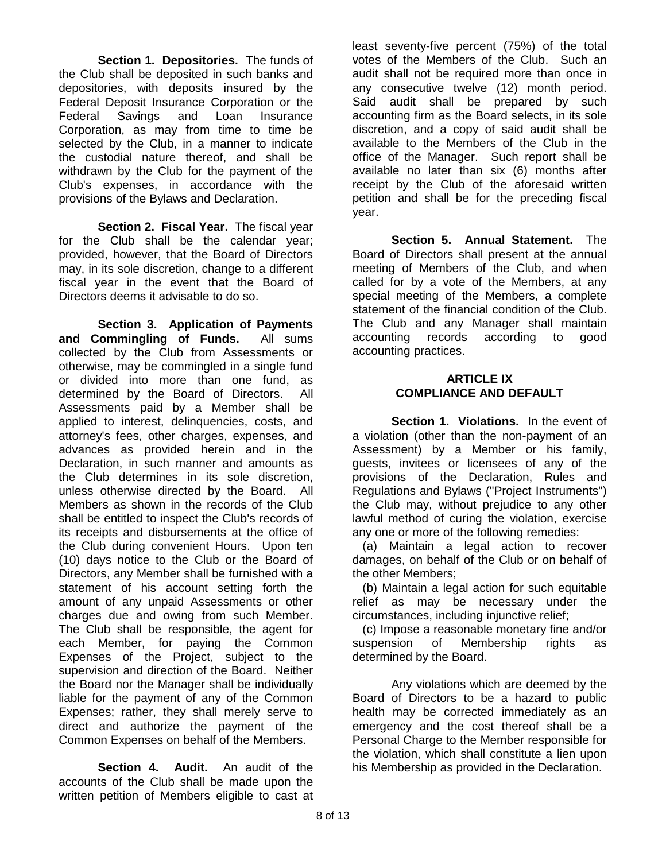**Section 1. Depositories.** The funds of the Club shall be deposited in such banks and depositories, with deposits insured by the Federal Deposit Insurance Corporation or the Federal Savings and Loan Insurance Corporation, as may from time to time be selected by the Club, in a manner to indicate the custodial nature thereof, and shall be withdrawn by the Club for the payment of the Club's expenses, in accordance with the provisions of the Bylaws and Declaration.

**Section 2. Fiscal Year.** The fiscal year for the Club shall be the calendar year; provided, however, that the Board of Directors may, in its sole discretion, change to a different fiscal year in the event that the Board of Directors deems it advisable to do so.

**Section 3. Application of Payments and Commingling of Funds.** All sums collected by the Club from Assessments or otherwise, may be commingled in a single fund or divided into more than one fund, as determined by the Board of Directors. All Assessments paid by a Member shall be applied to interest, delinquencies, costs, and attorney's fees, other charges, expenses, and advances as provided herein and in the Declaration, in such manner and amounts as the Club determines in its sole discretion, unless otherwise directed by the Board. All Members as shown in the records of the Club shall be entitled to inspect the Club's records of its receipts and disbursements at the office of the Club during convenient Hours. Upon ten (10) days notice to the Club or the Board of Directors, any Member shall be furnished with a statement of his account setting forth the amount of any unpaid Assessments or other charges due and owing from such Member. The Club shall be responsible, the agent for each Member, for paying the Common Expenses of the Project, subject to the supervision and direction of the Board. Neither the Board nor the Manager shall be individually liable for the payment of any of the Common Expenses; rather, they shall merely serve to direct and authorize the payment of the Common Expenses on behalf of the Members.

**Section 4. Audit.** An audit of the accounts of the Club shall be made upon the written petition of Members eligible to cast at

least seventy-five percent (75%) of the total votes of the Members of the Club. Such an audit shall not be required more than once in any consecutive twelve (12) month period. Said audit shall be prepared by such accounting firm as the Board selects, in its sole discretion, and a copy of said audit shall be available to the Members of the Club in the office of the Manager. Such report shall be available no later than six (6) months after receipt by the Club of the aforesaid written petition and shall be for the preceding fiscal year.

**Section 5. Annual Statement.** The Board of Directors shall present at the annual meeting of Members of the Club, and when called for by a vote of the Members, at any special meeting of the Members, a complete statement of the financial condition of the Club. The Club and any Manager shall maintain accounting records according to good accounting practices.

#### **ARTICLE IX COMPLIANCE AND DEFAULT**

**Section 1. Violations.** In the event of a violation (other than the non-payment of an Assessment) by a Member or his family, guests, invitees or licensees of any of the provisions of the Declaration, Rules and Regulations and Bylaws ("Project Instruments") the Club may, without prejudice to any other lawful method of curing the violation, exercise any one or more of the following remedies:

(a) Maintain a legal action to recover damages, on behalf of the Club or on behalf of the other Members;

(b) Maintain a legal action for such equitable relief as may be necessary under the circumstances, including injunctive relief;

(c) Impose a reasonable monetary fine and/or suspension of Membership rights as determined by the Board.

Any violations which are deemed by the Board of Directors to be a hazard to public health may be corrected immediately as an emergency and the cost thereof shall be a Personal Charge to the Member responsible for the violation, which shall constitute a lien upon his Membership as provided in the Declaration.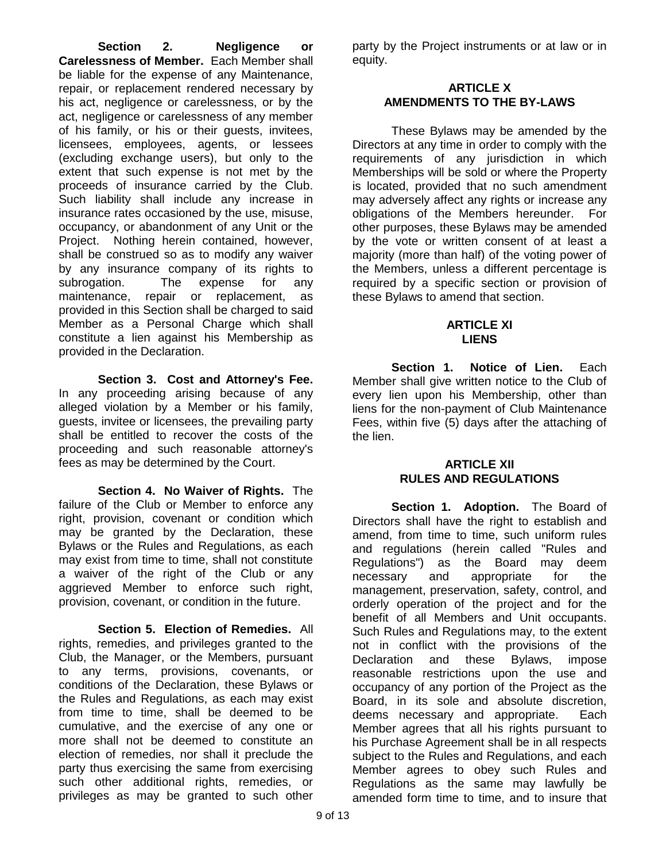**Section 2. Negligence or Carelessness of Member.** Each Member shall be liable for the expense of any Maintenance, repair, or replacement rendered necessary by his act, negligence or carelessness, or by the act, negligence or carelessness of any member of his family, or his or their guests, invitees, licensees, employees, agents, or lessees (excluding exchange users), but only to the extent that such expense is not met by the proceeds of insurance carried by the Club. Such liability shall include any increase in insurance rates occasioned by the use, misuse, occupancy, or abandonment of any Unit or the Project. Nothing herein contained, however, shall be construed so as to modify any waiver by any insurance company of its rights to subrogation. The expense for any maintenance, repair or replacement, as provided in this Section shall be charged to said Member as a Personal Charge which shall constitute a lien against his Membership as provided in the Declaration.

**Section 3. Cost and Attorney's Fee.**  In any proceeding arising because of any alleged violation by a Member or his family, guests, invitee or licensees, the prevailing party shall be entitled to recover the costs of the proceeding and such reasonable attorney's fees as may be determined by the Court.

**Section 4. No Waiver of Rights.** The failure of the Club or Member to enforce any right, provision, covenant or condition which may be granted by the Declaration, these Bylaws or the Rules and Regulations, as each may exist from time to time, shall not constitute a waiver of the right of the Club or any aggrieved Member to enforce such right, provision, covenant, or condition in the future.

**Section 5. Election of Remedies.** All rights, remedies, and privileges granted to the Club, the Manager, or the Members, pursuant to any terms, provisions, covenants, or conditions of the Declaration, these Bylaws or the Rules and Regulations, as each may exist from time to time, shall be deemed to be cumulative, and the exercise of any one or more shall not be deemed to constitute an election of remedies, nor shall it preclude the party thus exercising the same from exercising such other additional rights, remedies, or privileges as may be granted to such other

party by the Project instruments or at law or in equity.

# **ARTICLE X AMENDMENTS TO THE BY-LAWS**

These Bylaws may be amended by the Directors at any time in order to comply with the requirements of any jurisdiction in which Memberships will be sold or where the Property is located, provided that no such amendment may adversely affect any rights or increase any obligations of the Members hereunder. For other purposes, these Bylaws may be amended by the vote or written consent of at least a majority (more than half) of the voting power of the Members, unless a different percentage is required by a specific section or provision of these Bylaws to amend that section.

### **ARTICLE XI LIENS**

**Section 1. Notice of Lien.** Each Member shall give written notice to the Club of every lien upon his Membership, other than liens for the non-payment of Club Maintenance Fees, within five (5) days after the attaching of the lien.

## **ARTICLE XII RULES AND REGULATIONS**

**Section 1. Adoption.** The Board of Directors shall have the right to establish and amend, from time to time, such uniform rules and regulations (herein called "Rules and Regulations") as the Board may deem necessary and appropriate for the management, preservation, safety, control, and orderly operation of the project and for the benefit of all Members and Unit occupants. Such Rules and Regulations may, to the extent not in conflict with the provisions of the Declaration and these Bylaws, impose reasonable restrictions upon the use and occupancy of any portion of the Project as the Board, in its sole and absolute discretion, deems necessary and appropriate. Each Member agrees that all his rights pursuant to his Purchase Agreement shall be in all respects subject to the Rules and Regulations, and each Member agrees to obey such Rules and Regulations as the same may lawfully be amended form time to time, and to insure that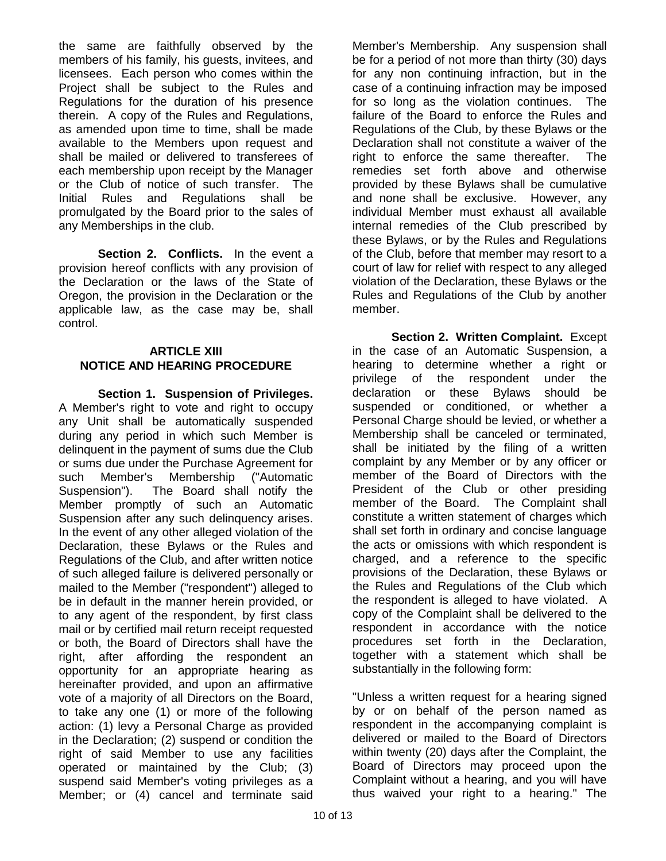the same are faithfully observed by the members of his family, his guests, invitees, and licensees. Each person who comes within the Project shall be subject to the Rules and Regulations for the duration of his presence therein. A copy of the Rules and Regulations, as amended upon time to time, shall be made available to the Members upon request and shall be mailed or delivered to transferees of each membership upon receipt by the Manager or the Club of notice of such transfer. The Initial Rules and Regulations shall be promulgated by the Board prior to the sales of any Memberships in the club.

**Section 2. Conflicts.** In the event a provision hereof conflicts with any provision of the Declaration or the laws of the State of Oregon, the provision in the Declaration or the applicable law, as the case may be, shall control.

# **ARTICLE XIII NOTICE AND HEARING PROCEDURE**

**Section 1. Suspension of Privileges.**  A Member's right to vote and right to occupy any Unit shall be automatically suspended during any period in which such Member is delinquent in the payment of sums due the Club or sums due under the Purchase Agreement for such Member's Membership ("Automatic Suspension"). The Board shall notify the Member promptly of such an Automatic Suspension after any such delinquency arises. In the event of any other alleged violation of the Declaration, these Bylaws or the Rules and Regulations of the Club, and after written notice of such alleged failure is delivered personally or mailed to the Member ("respondent") alleged to be in default in the manner herein provided, or to any agent of the respondent, by first class mail or by certified mail return receipt requested or both, the Board of Directors shall have the right, after affording the respondent an opportunity for an appropriate hearing as hereinafter provided, and upon an affirmative vote of a majority of all Directors on the Board, to take any one (1) or more of the following action: (1) levy a Personal Charge as provided in the Declaration; (2) suspend or condition the right of said Member to use any facilities operated or maintained by the Club; (3) suspend said Member's voting privileges as a Member; or (4) cancel and terminate said

Member's Membership. Any suspension shall be for a period of not more than thirty (30) days for any non continuing infraction, but in the case of a continuing infraction may be imposed for so long as the violation continues. The failure of the Board to enforce the Rules and Regulations of the Club, by these Bylaws or the Declaration shall not constitute a waiver of the right to enforce the same thereafter. The remedies set forth above and otherwise provided by these Bylaws shall be cumulative and none shall be exclusive. However, any individual Member must exhaust all available internal remedies of the Club prescribed by these Bylaws, or by the Rules and Regulations of the Club, before that member may resort to a court of law for relief with respect to any alleged violation of the Declaration, these Bylaws or the Rules and Regulations of the Club by another member.

**Section 2. Written Complaint.** Except in the case of an Automatic Suspension, a hearing to determine whether a right or privilege of the respondent under the declaration or these Bylaws should be suspended or conditioned, or whether a Personal Charge should be levied, or whether a Membership shall be canceled or terminated, shall be initiated by the filing of a written complaint by any Member or by any officer or member of the Board of Directors with the President of the Club or other presiding member of the Board. The Complaint shall constitute a written statement of charges which shall set forth in ordinary and concise language the acts or omissions with which respondent is charged, and a reference to the specific provisions of the Declaration, these Bylaws or the Rules and Regulations of the Club which the respondent is alleged to have violated. A copy of the Complaint shall be delivered to the respondent in accordance with the notice procedures set forth in the Declaration, together with a statement which shall be substantially in the following form:

"Unless a written request for a hearing signed by or on behalf of the person named as respondent in the accompanying complaint is delivered or mailed to the Board of Directors within twenty (20) days after the Complaint, the Board of Directors may proceed upon the Complaint without a hearing, and you will have thus waived your right to a hearing." The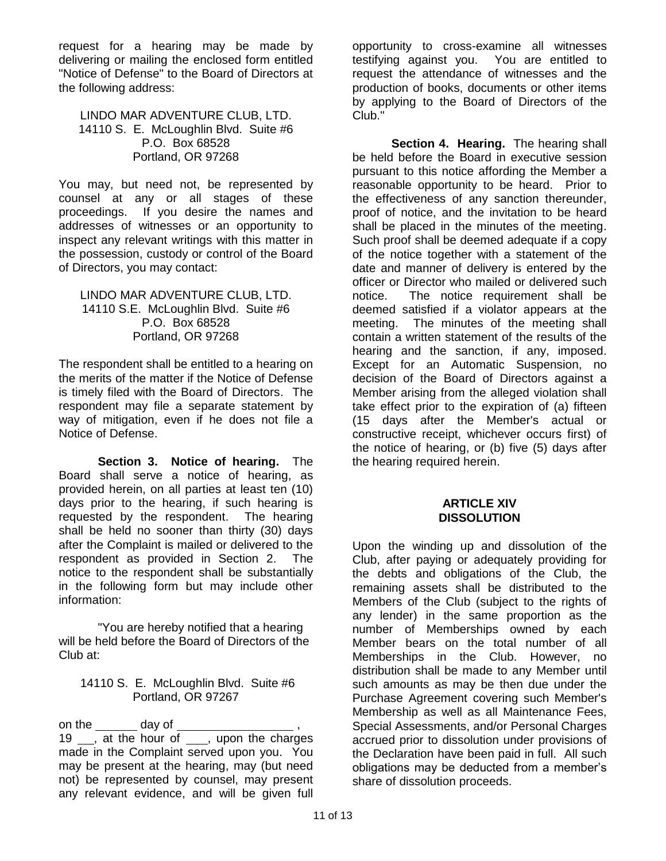request for a hearing may be made by delivering or mailing the enclosed form entitled "Notice of Defense" to the Board of Directors at the following address:

LINDO MAR ADVENTURE CLUB, LTD. 14110 S. E. McLoughlin Blvd. Suite #6 P.O. Box 68528 Portland, OR 97268

You may, but need not, be represented by counsel at any or all stages of these proceedings. If you desire the names and addresses of witnesses or an opportunity to inspect any relevant writings with this matter in the possession, custody or control of the Board of Directors, you may contact:

#### LINDO MAR ADVENTURE CLUB, LTD. 14110 S.E. McLoughlin Blvd. Suite #6 P.O. Box 68528 Portland, OR 97268

The respondent shall be entitled to a hearing on the merits of the matter if the Notice of Defense is timely filed with the Board of Directors. The respondent may file a separate statement by way of mitigation, even if he does not file a Notice of Defense.

**Section 3. Notice of hearing.** The Board shall serve a notice of hearing, as provided herein, on all parties at least ten (10) days prior to the hearing, if such hearing is requested by the respondent. The hearing shall be held no sooner than thirty (30) days after the Complaint is mailed or delivered to the respondent as provided in Section 2. The notice to the respondent shall be substantially in the following form but may include other information:

"You are hereby notified that a hearing will be held before the Board of Directors of the Club at:

#### 14110 S. E. McLoughlin Blvd. Suite #6 Portland, OR 97267

on the day of 19 <sub>,</sub> at the hour of , upon the charges made in the Complaint served upon you. You may be present at the hearing, may (but need not) be represented by counsel, may present any relevant evidence, and will be given full

opportunity to cross-examine all witnesses testifying against you. You are entitled to request the attendance of witnesses and the production of books, documents or other items by applying to the Board of Directors of the Club."

**Section 4. Hearing.** The hearing shall be held before the Board in executive session pursuant to this notice affording the Member a reasonable opportunity to be heard. Prior to the effectiveness of any sanction thereunder, proof of notice, and the invitation to be heard shall be placed in the minutes of the meeting. Such proof shall be deemed adequate if a copy of the notice together with a statement of the date and manner of delivery is entered by the officer or Director who mailed or delivered such notice. The notice requirement shall be deemed satisfied if a violator appears at the meeting. The minutes of the meeting shall contain a written statement of the results of the hearing and the sanction, if any, imposed. Except for an Automatic Suspension, no decision of the Board of Directors against a Member arising from the alleged violation shall take effect prior to the expiration of (a) fifteen (15 days after the Member's actual or constructive receipt, whichever occurs first) of the notice of hearing, or (b) five (5) days after the hearing required herein.

#### **ARTICLE XIV DISSOLUTION**

Upon the winding up and dissolution of the Club, after paying or adequately providing for the debts and obligations of the Club, the remaining assets shall be distributed to the Members of the Club (subject to the rights of any lender) in the same proportion as the number of Memberships owned by each Member bears on the total number of all Memberships in the Club. However, no distribution shall be made to any Member until such amounts as may be then due under the Purchase Agreement covering such Member's Membership as well as all Maintenance Fees, Special Assessments, and/or Personal Charges accrued prior to dissolution under provisions of the Declaration have been paid in full. All such obligations may be deducted from a member's share of dissolution proceeds.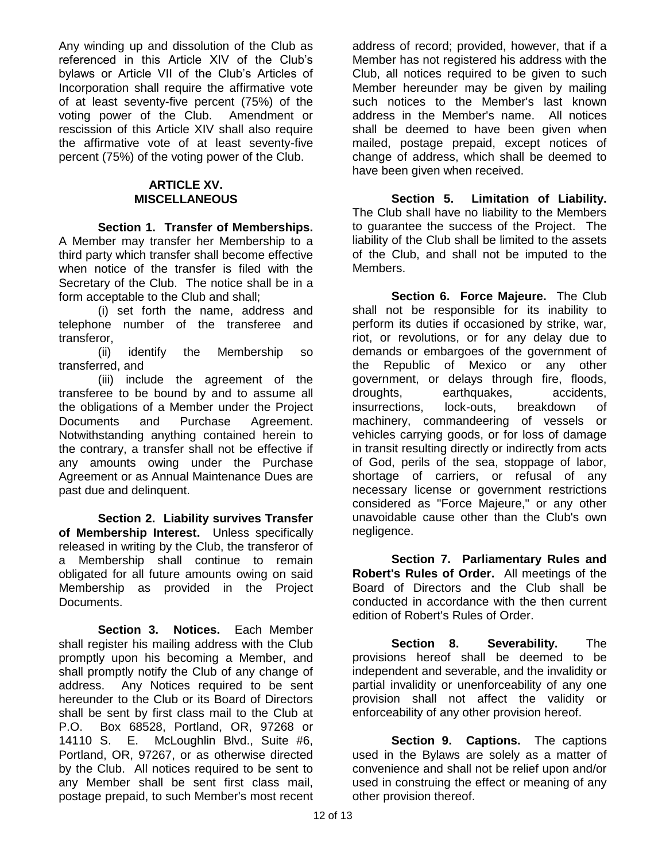Any winding up and dissolution of the Club as referenced in this Article XIV of the Club's bylaws or Article VII of the Club's Articles of Incorporation shall require the affirmative vote of at least seventy-five percent (75%) of the voting power of the Club. Amendment or rescission of this Article XIV shall also require the affirmative vote of at least seventy-five percent (75%) of the voting power of the Club.

#### **ARTICLE XV. MISCELLANEOUS**

**Section 1. Transfer of Memberships.**  A Member may transfer her Membership to a third party which transfer shall become effective when notice of the transfer is filed with the Secretary of the Club. The notice shall be in a form acceptable to the Club and shall;

(i) set forth the name, address and telephone number of the transferee and transferor,

(ii) identify the Membership so transferred, and

(iii) include the agreement of the transferee to be bound by and to assume all the obligations of a Member under the Project Documents and Purchase Agreement. Notwithstanding anything contained herein to the contrary, a transfer shall not be effective if any amounts owing under the Purchase Agreement or as Annual Maintenance Dues are past due and delinquent.

**Section 2. Liability survives Transfer of Membership Interest.** Unless specifically released in writing by the Club, the transferor of a Membership shall continue to remain obligated for all future amounts owing on said Membership as provided in the Project Documents.

**Section 3. Notices.** Each Member shall register his mailing address with the Club promptly upon his becoming a Member, and shall promptly notify the Club of any change of address. Any Notices required to be sent hereunder to the Club or its Board of Directors shall be sent by first class mail to the Club at P.O. Box 68528, Portland, OR, 97268 or 14110 S. E. McLoughlin Blvd., Suite #6, Portland, OR, 97267, or as otherwise directed by the Club. All notices required to be sent to any Member shall be sent first class mail, postage prepaid, to such Member's most recent address of record; provided, however, that if a Member has not registered his address with the Club, all notices required to be given to such Member hereunder may be given by mailing such notices to the Member's last known address in the Member's name. All notices shall be deemed to have been given when mailed, postage prepaid, except notices of change of address, which shall be deemed to have been given when received.

**Section 5. Limitation of Liability.**  The Club shall have no liability to the Members to guarantee the success of the Project. The liability of the Club shall be limited to the assets of the Club, and shall not be imputed to the Members.

**Section 6. Force Majeure.** The Club shall not be responsible for its inability to perform its duties if occasioned by strike, war, riot, or revolutions, or for any delay due to demands or embargoes of the government of the Republic of Mexico or any other government, or delays through fire, floods, droughts, earthquakes, accidents, insurrections, lock-outs, breakdown of machinery, commandeering of vessels or vehicles carrying goods, or for loss of damage in transit resulting directly or indirectly from acts of God, perils of the sea, stoppage of labor, shortage of carriers, or refusal of any necessary license or government restrictions considered as "Force Majeure," or any other unavoidable cause other than the Club's own negligence.

**Section 7. Parliamentary Rules and Robert's Rules of Order.** All meetings of the Board of Directors and the Club shall be conducted in accordance with the then current edition of Robert's Rules of Order.

**Section 8. Severability.** The provisions hereof shall be deemed to be independent and severable, and the invalidity or partial invalidity or unenforceability of any one provision shall not affect the validity or enforceability of any other provision hereof.

**Section 9. Captions.** The captions used in the Bylaws are solely as a matter of convenience and shall not be relief upon and/or used in construing the effect or meaning of any other provision thereof.